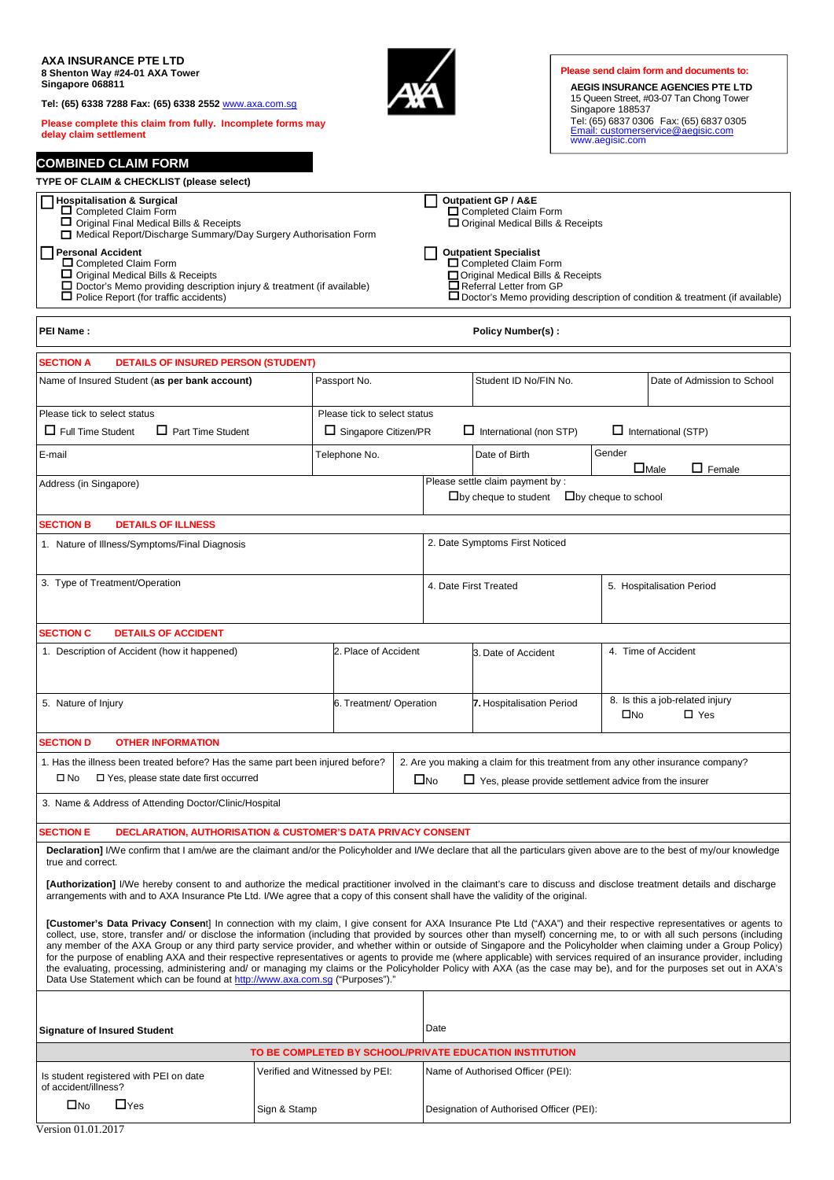| AXA INSURANCE PTE LTD<br>8 Shenton Way #24-01 AXA Tower<br>Singapore 068811<br>Tel: (65) 6338 7288 Fax: (65) 6338 2552 www.axa.com.sq<br>Please complete this claim from fully. Incomplete forms may                                                                                                                                                                                                                                                                                                                                                                                                                                                                                                                                                                                                                                                                                                                                                                    |              |                              |  |                                                                               |                                                                                             | Singapore 188537              | Please send claim form and documents to:<br>AEGIS INSURANCE AGENCIES PTE LTD<br>15 Queen Street, #03-07 Tan Chong Tower<br>Tel: (65) 6837 0306  Fax: (65) 6837 0305 |  |
|-------------------------------------------------------------------------------------------------------------------------------------------------------------------------------------------------------------------------------------------------------------------------------------------------------------------------------------------------------------------------------------------------------------------------------------------------------------------------------------------------------------------------------------------------------------------------------------------------------------------------------------------------------------------------------------------------------------------------------------------------------------------------------------------------------------------------------------------------------------------------------------------------------------------------------------------------------------------------|--------------|------------------------------|--|-------------------------------------------------------------------------------|---------------------------------------------------------------------------------------------|-------------------------------|---------------------------------------------------------------------------------------------------------------------------------------------------------------------|--|
| delay claim settlement                                                                                                                                                                                                                                                                                                                                                                                                                                                                                                                                                                                                                                                                                                                                                                                                                                                                                                                                                  |              |                              |  |                                                                               |                                                                                             | www.aegisic.com               | Email: customerservice@aegisic.com                                                                                                                                  |  |
| <b>COMBINED CLAIM FORM</b>                                                                                                                                                                                                                                                                                                                                                                                                                                                                                                                                                                                                                                                                                                                                                                                                                                                                                                                                              |              |                              |  |                                                                               |                                                                                             |                               |                                                                                                                                                                     |  |
| TYPE OF CLAIM & CHECKLIST (please select)                                                                                                                                                                                                                                                                                                                                                                                                                                                                                                                                                                                                                                                                                                                                                                                                                                                                                                                               |              |                              |  |                                                                               |                                                                                             |                               |                                                                                                                                                                     |  |
| <b>Hospitalisation &amp; Surgical</b><br>□ Completed Claim Form<br>Original Final Medical Bills & Receipts<br>Medical Report/Discharge Summary/Day Surgery Authorisation Form                                                                                                                                                                                                                                                                                                                                                                                                                                                                                                                                                                                                                                                                                                                                                                                           |              |                              |  |                                                                               | <b>Outpatient GP / A&amp;E</b><br>Completed Claim Form<br>Original Medical Bills & Receipts |                               |                                                                                                                                                                     |  |
| <b>Personal Accident</b><br><b>Outpatient Specialist</b><br>□ Completed Claim Form<br>Completed Claim Form<br>□ Original Medical Bills & Receipts<br>□ Original Medical Bills & Receipts<br>□ Doctor's Memo providing description injury & treatment (if available)<br>$\Box$ Referral Letter from GP<br>$\Box$ Police Report (for traffic accidents)<br>□ Doctor's Memo providing description of condition & treatment (if available)                                                                                                                                                                                                                                                                                                                                                                                                                                                                                                                                  |              |                              |  |                                                                               |                                                                                             |                               |                                                                                                                                                                     |  |
| PEI Name:                                                                                                                                                                                                                                                                                                                                                                                                                                                                                                                                                                                                                                                                                                                                                                                                                                                                                                                                                               |              |                              |  |                                                                               | <b>Policy Number(s):</b>                                                                    |                               |                                                                                                                                                                     |  |
| <b>DETAILS OF INSURED PERSON (STUDENT)</b><br><b>SECTION A</b>                                                                                                                                                                                                                                                                                                                                                                                                                                                                                                                                                                                                                                                                                                                                                                                                                                                                                                          |              |                              |  |                                                                               |                                                                                             |                               |                                                                                                                                                                     |  |
| Name of Insured Student (as per bank account)                                                                                                                                                                                                                                                                                                                                                                                                                                                                                                                                                                                                                                                                                                                                                                                                                                                                                                                           |              | Passport No.                 |  |                                                                               | Student ID No/FIN No.                                                                       |                               | Date of Admission to School                                                                                                                                         |  |
| Please tick to select status                                                                                                                                                                                                                                                                                                                                                                                                                                                                                                                                                                                                                                                                                                                                                                                                                                                                                                                                            |              | Please tick to select status |  |                                                                               |                                                                                             |                               |                                                                                                                                                                     |  |
| $\Box$ Full Time Student<br>$\Box$ Part Time Student                                                                                                                                                                                                                                                                                                                                                                                                                                                                                                                                                                                                                                                                                                                                                                                                                                                                                                                    |              | $\Box$ Singapore Citizen/PR  |  |                                                                               | $\Box$ International (non STP)                                                              |                               | $\Box$ International (STP)                                                                                                                                          |  |
| E-mail                                                                                                                                                                                                                                                                                                                                                                                                                                                                                                                                                                                                                                                                                                                                                                                                                                                                                                                                                                  |              | Telephone No.                |  |                                                                               | Date of Birth                                                                               | Gender                        | $\square$ Male<br>$\Box$ Female                                                                                                                                     |  |
| Address (in Singapore)                                                                                                                                                                                                                                                                                                                                                                                                                                                                                                                                                                                                                                                                                                                                                                                                                                                                                                                                                  |              |                              |  |                                                                               | Please settle claim payment by :<br>$\square$ by cheque to student                          | $\square$ by cheque to school |                                                                                                                                                                     |  |
| <b>SECTION B</b><br><b>DETAILS OF ILLNESS</b>                                                                                                                                                                                                                                                                                                                                                                                                                                                                                                                                                                                                                                                                                                                                                                                                                                                                                                                           |              |                              |  |                                                                               |                                                                                             |                               |                                                                                                                                                                     |  |
| 1. Nature of Illness/Symptoms/Final Diagnosis                                                                                                                                                                                                                                                                                                                                                                                                                                                                                                                                                                                                                                                                                                                                                                                                                                                                                                                           |              |                              |  |                                                                               | 2. Date Symptoms First Noticed                                                              |                               |                                                                                                                                                                     |  |
| 3. Type of Treatment/Operation                                                                                                                                                                                                                                                                                                                                                                                                                                                                                                                                                                                                                                                                                                                                                                                                                                                                                                                                          |              |                              |  |                                                                               | 4. Date First Treated                                                                       |                               | 5. Hospitalisation Period                                                                                                                                           |  |
| <b>SECTION C</b><br><b>DETAILS OF ACCIDENT</b>                                                                                                                                                                                                                                                                                                                                                                                                                                                                                                                                                                                                                                                                                                                                                                                                                                                                                                                          |              |                              |  |                                                                               |                                                                                             |                               |                                                                                                                                                                     |  |
| 1. Description of Accident (how it happened)                                                                                                                                                                                                                                                                                                                                                                                                                                                                                                                                                                                                                                                                                                                                                                                                                                                                                                                            |              | 2. Place of Accident         |  |                                                                               | 3. Date of Accident                                                                         |                               | 4. Time of Accident                                                                                                                                                 |  |
| 5. Nature of Injury                                                                                                                                                                                                                                                                                                                                                                                                                                                                                                                                                                                                                                                                                                                                                                                                                                                                                                                                                     |              | 6. Treatment/ Operation      |  | 7. Hospitalisation Period                                                     |                                                                                             |                               | 8. Is this a job-related injury<br>$\square$ No<br>$\Box$ Yes                                                                                                       |  |
| <b>SECTION D</b><br><b>OTHER INFORMATION</b>                                                                                                                                                                                                                                                                                                                                                                                                                                                                                                                                                                                                                                                                                                                                                                                                                                                                                                                            |              |                              |  |                                                                               |                                                                                             |                               |                                                                                                                                                                     |  |
| 1. Has the illness been treated before? Has the same part been injured before?                                                                                                                                                                                                                                                                                                                                                                                                                                                                                                                                                                                                                                                                                                                                                                                                                                                                                          |              |                              |  |                                                                               | 2. Are you making a claim for this treatment from any other insurance company?              |                               |                                                                                                                                                                     |  |
| $\square$ No<br>$\Box$ Yes, please state date first occurred                                                                                                                                                                                                                                                                                                                                                                                                                                                                                                                                                                                                                                                                                                                                                                                                                                                                                                            |              |                              |  | $\square$ No<br>$\Box$ Yes, please provide settlement advice from the insurer |                                                                                             |                               |                                                                                                                                                                     |  |
| 3. Name & Address of Attending Doctor/Clinic/Hospital                                                                                                                                                                                                                                                                                                                                                                                                                                                                                                                                                                                                                                                                                                                                                                                                                                                                                                                   |              |                              |  |                                                                               |                                                                                             |                               |                                                                                                                                                                     |  |
| <b>SECTION E</b><br><b>DECLARATION, AUTHORISATION &amp; CUSTOMER'S DATA PRIVACY CONSENT</b>                                                                                                                                                                                                                                                                                                                                                                                                                                                                                                                                                                                                                                                                                                                                                                                                                                                                             |              |                              |  |                                                                               |                                                                                             |                               |                                                                                                                                                                     |  |
| Declaration] I/We confirm that I am/we are the claimant and/or the Policyholder and I/We declare that all the particulars given above are to the best of my/our knowledge                                                                                                                                                                                                                                                                                                                                                                                                                                                                                                                                                                                                                                                                                                                                                                                               |              |                              |  |                                                                               |                                                                                             |                               |                                                                                                                                                                     |  |
| true and correct.<br>[Authorization] I/We hereby consent to and authorize the medical practitioner involved in the claimant's care to discuss and disclose treatment details and discharge<br>arrangements with and to AXA Insurance Pte Ltd. I/We agree that a copy of this consent shall have the validity of the original.                                                                                                                                                                                                                                                                                                                                                                                                                                                                                                                                                                                                                                           |              |                              |  |                                                                               |                                                                                             |                               |                                                                                                                                                                     |  |
|                                                                                                                                                                                                                                                                                                                                                                                                                                                                                                                                                                                                                                                                                                                                                                                                                                                                                                                                                                         |              |                              |  |                                                                               |                                                                                             |                               |                                                                                                                                                                     |  |
| <b>[Customer's Data Privacy Consent</b> ] In connection with my claim, I give consent for AXA Insurance Pte Ltd ("AXA") and their respective representatives or agents to<br>collect, use, store, transfer and/ or disclose the information (including that provided by sources other than myself) concerning me, to or with all such persons (including<br>any member of the AXA Group or any third party service provider, and whether within or outside of Singapore and the Policyholder when claiming under a Group Policy)<br>for the purpose of enabling AXA and their respective representatives or agents to provide me (where applicable) with services required of an insurance provider, including<br>the evaluating, processing, administering and/ or managing my claims or the Policyholder Policy with AXA (as the case may be), and for the purposes set out in AXA's<br>Data Use Statement which can be found at http://www.axa.com.sq ("Purposes")." |              |                              |  |                                                                               |                                                                                             |                               |                                                                                                                                                                     |  |
|                                                                                                                                                                                                                                                                                                                                                                                                                                                                                                                                                                                                                                                                                                                                                                                                                                                                                                                                                                         |              |                              |  | Date                                                                          |                                                                                             |                               |                                                                                                                                                                     |  |
| <b>Signature of Insured Student</b>                                                                                                                                                                                                                                                                                                                                                                                                                                                                                                                                                                                                                                                                                                                                                                                                                                                                                                                                     |              |                              |  |                                                                               |                                                                                             |                               |                                                                                                                                                                     |  |
| TO BE COMPLETED BY SCHOOL/PRIVATE EDUCATION INSTITUTION<br>Verified and Witnessed by PEI:<br>Name of Authorised Officer (PEI):                                                                                                                                                                                                                                                                                                                                                                                                                                                                                                                                                                                                                                                                                                                                                                                                                                          |              |                              |  |                                                                               |                                                                                             |                               |                                                                                                                                                                     |  |
| Is student registered with PEI on date<br>of accident/illness?                                                                                                                                                                                                                                                                                                                                                                                                                                                                                                                                                                                                                                                                                                                                                                                                                                                                                                          |              |                              |  |                                                                               |                                                                                             |                               |                                                                                                                                                                     |  |
| $\Box$ Yes<br>$\square$ No                                                                                                                                                                                                                                                                                                                                                                                                                                                                                                                                                                                                                                                                                                                                                                                                                                                                                                                                              | Sign & Stamp |                              |  |                                                                               | Designation of Authorised Officer (PEI):                                                    |                               |                                                                                                                                                                     |  |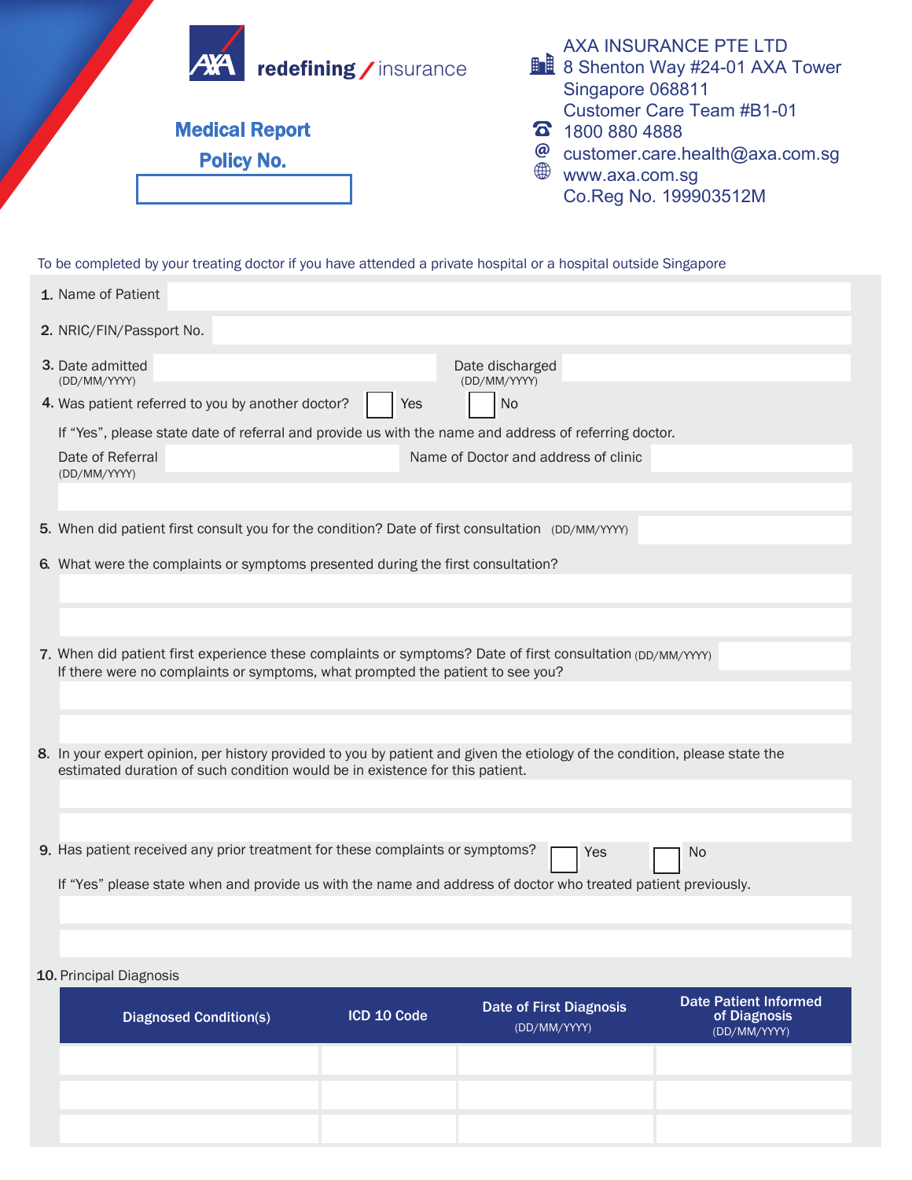

|  | 2. NRIC/FIN/Passport No.                                                                                                                                                                                    |  |  |  |  |  |  |
|--|-------------------------------------------------------------------------------------------------------------------------------------------------------------------------------------------------------------|--|--|--|--|--|--|
|  | <b>3.</b> Date admitted<br>Date discharged<br>(DD/MM/YYYY)<br>(DD/MM/YYYY)                                                                                                                                  |  |  |  |  |  |  |
|  | 4. Was patient referred to you by another doctor?<br><b>No</b><br>Yes                                                                                                                                       |  |  |  |  |  |  |
|  | If "Yes", please state date of referral and provide us with the name and address of referring doctor.                                                                                                       |  |  |  |  |  |  |
|  | Name of Doctor and address of clinic<br>Date of Referral<br>(DD/MM/YYYY)                                                                                                                                    |  |  |  |  |  |  |
|  |                                                                                                                                                                                                             |  |  |  |  |  |  |
|  | 5. When did patient first consult you for the condition? Date of first consultation (DD/MM/YYYY)                                                                                                            |  |  |  |  |  |  |
|  | 6. What were the complaints or symptoms presented during the first consultation?                                                                                                                            |  |  |  |  |  |  |
|  |                                                                                                                                                                                                             |  |  |  |  |  |  |
|  |                                                                                                                                                                                                             |  |  |  |  |  |  |
|  | 7. When did patient first experience these complaints or symptoms? Date of first consultation (DD/MM/YYYY)                                                                                                  |  |  |  |  |  |  |
|  | If there were no complaints or symptoms, what prompted the patient to see you?                                                                                                                              |  |  |  |  |  |  |
|  |                                                                                                                                                                                                             |  |  |  |  |  |  |
|  |                                                                                                                                                                                                             |  |  |  |  |  |  |
|  | 8. In your expert opinion, per history provided to you by patient and given the etiology of the condition, please state the<br>estimated duration of such condition would be in existence for this patient. |  |  |  |  |  |  |
|  |                                                                                                                                                                                                             |  |  |  |  |  |  |
|  |                                                                                                                                                                                                             |  |  |  |  |  |  |
|  | 9. Has patient received any prior treatment for these complaints or symptoms?<br>No<br>Yes                                                                                                                  |  |  |  |  |  |  |
|  | If "Yes" please state when and provide us with the name and address of doctor who treated patient previously.                                                                                               |  |  |  |  |  |  |
|  |                                                                                                                                                                                                             |  |  |  |  |  |  |
|  |                                                                                                                                                                                                             |  |  |  |  |  |  |

## 10. Principal Diagnosis

| <b>Diagnosed Condition(s)</b> | ICD 10 Code | <b>Date of First Diagnosis</b><br>(DD/MM/YYYY) | Date Patient Informed<br>of Diagnosis<br>(DD/MM/YYYY) |
|-------------------------------|-------------|------------------------------------------------|-------------------------------------------------------|
|                               |             |                                                |                                                       |
|                               |             |                                                |                                                       |
|                               |             |                                                |                                                       |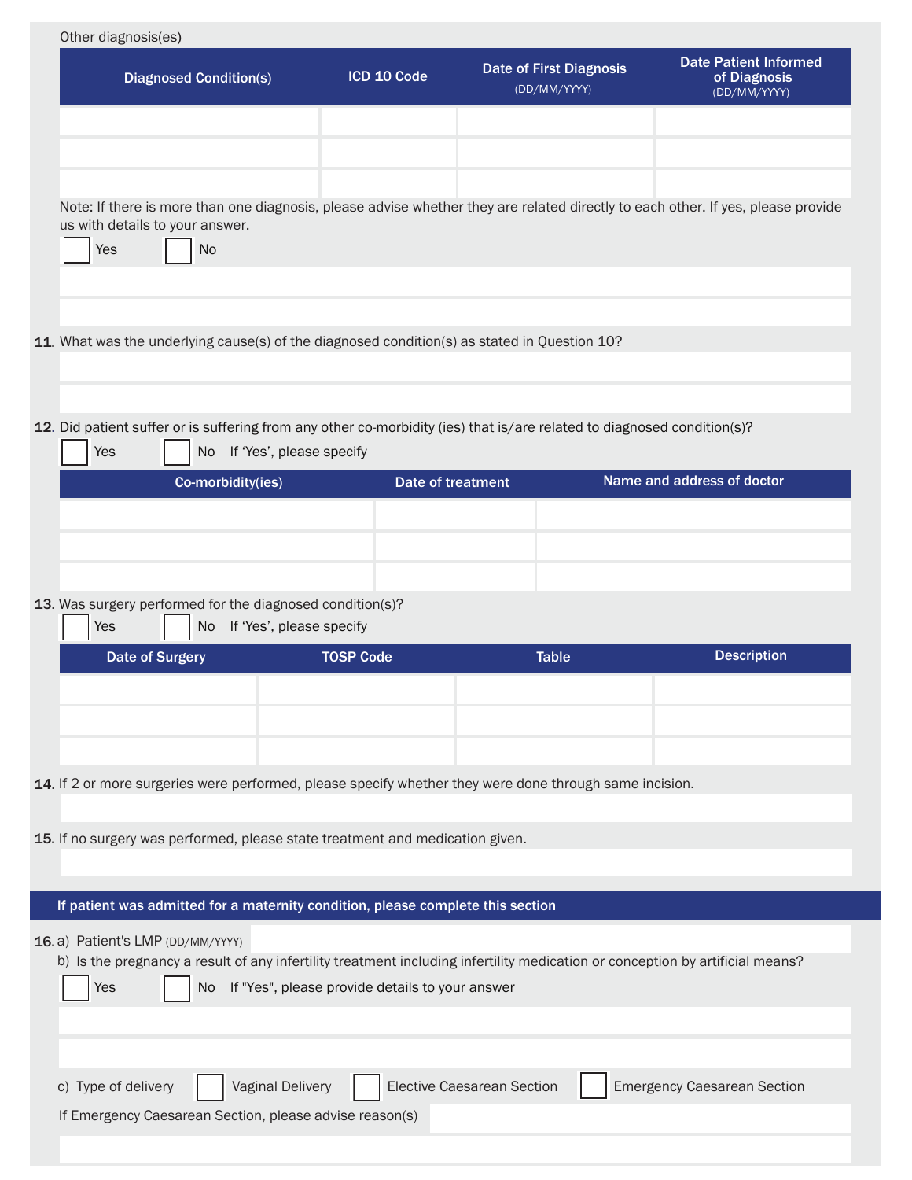| <b>Diagnosed Condition(s)</b>                                                                                                                                                                                                                                                                                                                                                                                                                                  | ICD 10 Code                                     | <b>Date of First Diagnosis</b><br>(DD/MM/YYYY) | <b>Date Patient Informed</b><br>of Diagnosis<br>(DD/MM/YYYY) |  |  |
|----------------------------------------------------------------------------------------------------------------------------------------------------------------------------------------------------------------------------------------------------------------------------------------------------------------------------------------------------------------------------------------------------------------------------------------------------------------|-------------------------------------------------|------------------------------------------------|--------------------------------------------------------------|--|--|
| Note: If there is more than one diagnosis, please advise whether they are related directly to each other. If yes, please provide<br>us with details to your answer.<br>Yes<br><b>No</b>                                                                                                                                                                                                                                                                        |                                                 |                                                |                                                              |  |  |
| 11. What was the underlying cause(s) of the diagnosed condition(s) as stated in Question 10?                                                                                                                                                                                                                                                                                                                                                                   |                                                 |                                                |                                                              |  |  |
| 12. Did patient suffer or is suffering from any other co-morbidity (ies) that is/are related to diagnosed condition(s)?<br>Yes<br>No.                                                                                                                                                                                                                                                                                                                          | If 'Yes', please specify                        |                                                |                                                              |  |  |
| Co-morbidity(ies)                                                                                                                                                                                                                                                                                                                                                                                                                                              | Date of treatment                               |                                                | Name and address of doctor                                   |  |  |
|                                                                                                                                                                                                                                                                                                                                                                                                                                                                |                                                 |                                                |                                                              |  |  |
|                                                                                                                                                                                                                                                                                                                                                                                                                                                                |                                                 |                                                |                                                              |  |  |
|                                                                                                                                                                                                                                                                                                                                                                                                                                                                |                                                 |                                                |                                                              |  |  |
|                                                                                                                                                                                                                                                                                                                                                                                                                                                                |                                                 |                                                |                                                              |  |  |
| 13. Was surgery performed for the diagnosed condition(s)?<br>Yes<br>No                                                                                                                                                                                                                                                                                                                                                                                         | If 'Yes', please specify                        |                                                |                                                              |  |  |
| <b>Date of Surgery</b>                                                                                                                                                                                                                                                                                                                                                                                                                                         | <b>TOSP Code</b>                                | <b>Table</b>                                   | <b>Description</b>                                           |  |  |
|                                                                                                                                                                                                                                                                                                                                                                                                                                                                |                                                 |                                                |                                                              |  |  |
|                                                                                                                                                                                                                                                                                                                                                                                                                                                                |                                                 |                                                |                                                              |  |  |
|                                                                                                                                                                                                                                                                                                                                                                                                                                                                |                                                 |                                                |                                                              |  |  |
|                                                                                                                                                                                                                                                                                                                                                                                                                                                                |                                                 |                                                |                                                              |  |  |
|                                                                                                                                                                                                                                                                                                                                                                                                                                                                |                                                 |                                                |                                                              |  |  |
|                                                                                                                                                                                                                                                                                                                                                                                                                                                                |                                                 |                                                |                                                              |  |  |
|                                                                                                                                                                                                                                                                                                                                                                                                                                                                |                                                 |                                                |                                                              |  |  |
| 14. If 2 or more surgeries were performed, please specify whether they were done through same incision.<br>15. If no surgery was performed, please state treatment and medication given.<br>If patient was admitted for a maternity condition, please complete this section<br>16.a) Patient's LMP (DD/MM/YYYY)<br>b) Is the pregnancy a result of any infertility treatment including infertility medication or conception by artificial means?<br>Yes<br>No. | If "Yes", please provide details to your answer |                                                |                                                              |  |  |
|                                                                                                                                                                                                                                                                                                                                                                                                                                                                |                                                 |                                                |                                                              |  |  |
| <b>Vaginal Delivery</b><br>c) Type of delivery                                                                                                                                                                                                                                                                                                                                                                                                                 |                                                 | Elective Caesarean Section                     | <b>Emergency Caesarean Section</b>                           |  |  |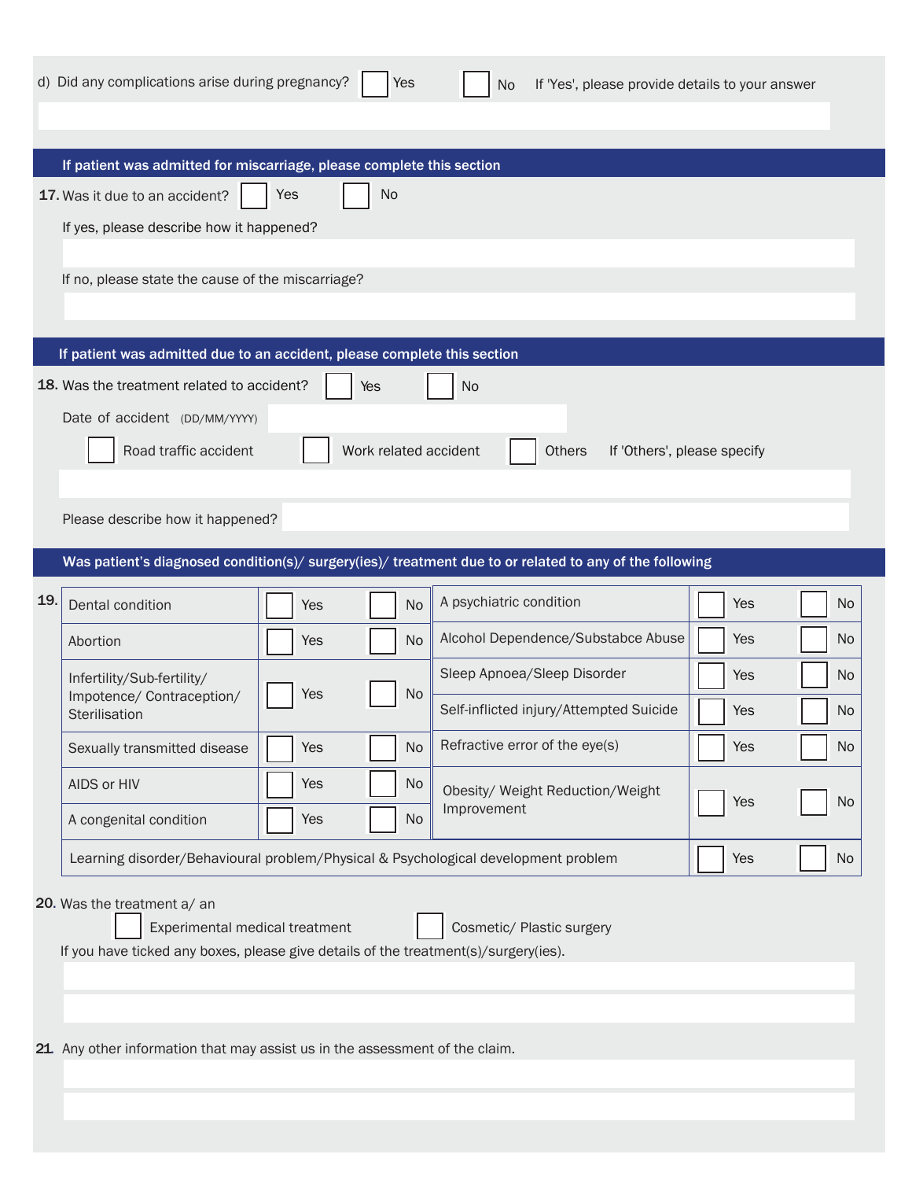|     | d) Did any complications arise during pregnancy?                                                                                                     |            | Yes       | If 'Yes', please provide details to your answer<br><b>No</b>                                            |     |           |
|-----|------------------------------------------------------------------------------------------------------------------------------------------------------|------------|-----------|---------------------------------------------------------------------------------------------------------|-----|-----------|
|     | If patient was admitted for miscarriage, please complete this section                                                                                |            |           |                                                                                                         |     |           |
|     | 17. Was it due to an accident?                                                                                                                       | Yes        | No        |                                                                                                         |     |           |
|     | If yes, please describe how it happened?                                                                                                             |            |           |                                                                                                         |     |           |
|     |                                                                                                                                                      |            |           |                                                                                                         |     |           |
|     | If no, please state the cause of the miscarriage?                                                                                                    |            |           |                                                                                                         |     |           |
|     |                                                                                                                                                      |            |           |                                                                                                         |     |           |
|     | If patient was admitted due to an accident, please complete this section                                                                             |            |           |                                                                                                         |     |           |
|     | 18. Was the treatment related to accident?                                                                                                           | Yes        |           | <b>No</b>                                                                                               |     |           |
|     | Date of accident (DD/MM/YYYY)                                                                                                                        |            |           |                                                                                                         |     |           |
|     | Road traffic accident                                                                                                                                |            |           | Work related accident<br>Others<br>If 'Others', please specify                                          |     |           |
|     |                                                                                                                                                      |            |           |                                                                                                         |     |           |
|     |                                                                                                                                                      |            |           |                                                                                                         |     |           |
|     | Please describe how it happened?                                                                                                                     |            |           |                                                                                                         |     |           |
|     |                                                                                                                                                      |            |           | Was patient's diagnosed condition(s)/ surgery(ies)/ treatment due to or related to any of the following |     |           |
| 19. | Dental condition                                                                                                                                     | <b>Yes</b> | <b>No</b> | A psychiatric condition                                                                                 | Yes | <b>No</b> |
|     | Abortion                                                                                                                                             | <b>Yes</b> | No        | Alcohol Dependence/Substabce Abuse                                                                      | Yes | No.       |
|     | Infertility/Sub-fertility/                                                                                                                           |            |           | Sleep Apnoea/Sleep Disorder                                                                             | Yes | <b>No</b> |
|     | <b>Yes</b><br>Impotence/ Contraception/<br>Sterilisation                                                                                             |            | <b>No</b> | Self-inflicted injury/Attempted Suicide                                                                 | Yes | No.       |
|     | Sexually transmitted disease                                                                                                                         | Yes        | No        | Refractive error of the eye(s)                                                                          | Yes | <b>No</b> |
|     | AIDS or HIV                                                                                                                                          | Yes        | No        | Obesity/ Weight Reduction/Weight                                                                        |     |           |
|     | A congenital condition                                                                                                                               | Yes        | No        | Improvement                                                                                             | Yes | No        |
|     | Learning disorder/Behavioural problem/Physical & Psychological development problem                                                                   |            | Yes       | No                                                                                                      |     |           |
|     | 20. Was the treatment a/ an<br>Experimental medical treatment<br>If you have ticked any boxes, please give details of the treatment(s)/surgery(ies). |            |           | Cosmetic/ Plastic surgery                                                                               |     |           |

21 Any other information that may assist us in the assessment of the claim.